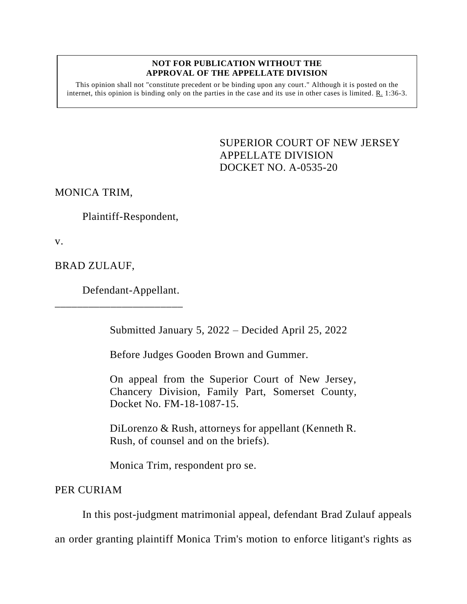## **NOT FOR PUBLICATION WITHOUT THE APPROVAL OF THE APPELLATE DIVISION**

This opinion shall not "constitute precedent or be binding upon any court." Although it is posted on the internet, this opinion is binding only on the parties in the case and its use in other cases is limited. R. 1:36-3.

> <span id="page-0-0"></span>SUPERIOR COURT OF NEW JERSEY APPELLATE DIVISION DOCKET NO. A-0535-20

MONICA TRIM,

Plaintiff-Respondent,

v.

BRAD ZULAUF,

Defendant-Appellant.

\_\_\_\_\_\_\_\_\_\_\_\_\_\_\_\_\_\_\_\_\_\_\_

Submitted January 5, 2022 – Decided April 25, 2022

Before Judges Gooden Brown and Gummer.

On appeal from the Superior Court of New Jersey, Chancery Division, Family Part, Somerset County, Docket No. FM-18-1087-15.

DiLorenzo & Rush, attorneys for appellant (Kenneth R. Rush, of counsel and on the briefs).

Monica Trim, respondent pro se.

PER CURIAM

In this post-judgment matrimonial appeal, defendant Brad Zulauf appeals

an order granting plaintiff Monica Trim's motion to enforce litigant's rights as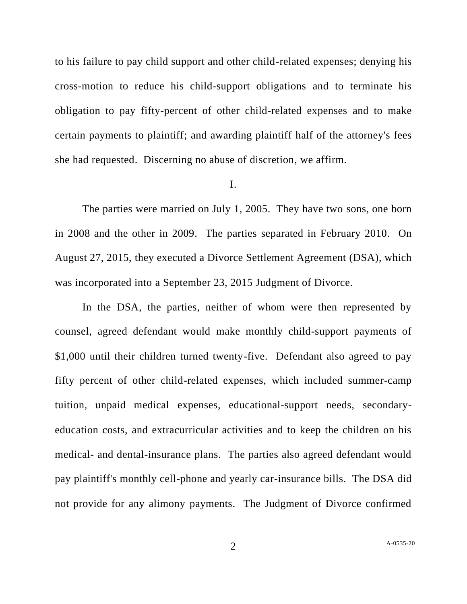to his failure to pay child support and other child-related expenses; denying his cross-motion to reduce his child-support obligations and to terminate his obligation to pay fifty-percent of other child-related expenses and to make certain payments to plaintiff; and awarding plaintiff half of the attorney's fees she had requested. Discerning no abuse of discretion, we affirm.

## I.

The parties were married on July 1, 2005. They have two sons, one born in 2008 and the other in 2009. The parties separated in February 2010. On August 27, 2015, they executed a Divorce Settlement Agreement (DSA), which was incorporated into a September 23, 2015 Judgment of Divorce.

In the DSA, the parties, neither of whom were then represented by counsel, agreed defendant would make monthly child-support payments of \$1,000 until their children turned twenty-five. Defendant also agreed to pay fifty percent of other child-related expenses, which included summer-camp tuition, unpaid medical expenses, educational-support needs, secondaryeducation costs, and extracurricular activities and to keep the children on his medical- and dental-insurance plans. The parties also agreed defendant would pay plaintiff's monthly cell-phone and yearly car-insurance bills. The DSA did not provide for any alimony payments. The Judgment of Divorce confirmed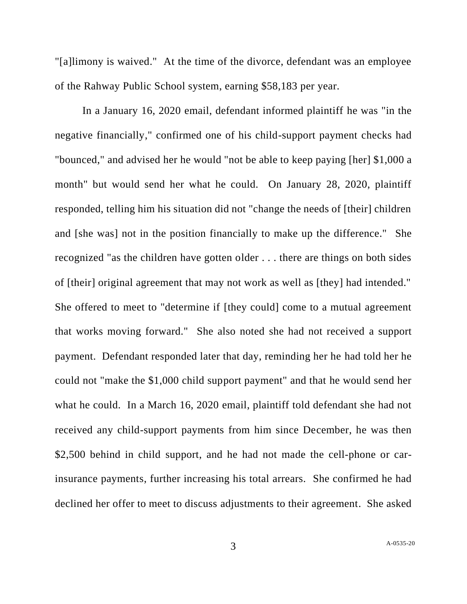"[a]limony is waived." At the time of the divorce, defendant was an employee of the Rahway Public School system, earning \$58,183 per year.

In a January 16, 2020 email, defendant informed plaintiff he was "in the negative financially," confirmed one of his child-support payment checks had "bounced," and advised her he would "not be able to keep paying [her] \$1,000 a month" but would send her what he could. On January 28, 2020, plaintiff responded, telling him his situation did not "change the needs of [their] children and [she was] not in the position financially to make up the difference." She recognized "as the children have gotten older . . . there are things on both sides of [their] original agreement that may not work as well as [they] had intended." She offered to meet to "determine if [they could] come to a mutual agreement that works moving forward." She also noted she had not received a support payment. Defendant responded later that day, reminding her he had told her he could not "make the \$1,000 child support payment" and that he would send her what he could. In a March 16, 2020 email, plaintiff told defendant she had not received any child-support payments from him since December, he was then \$2,500 behind in child support, and he had not made the cell-phone or carinsurance payments, further increasing his total arrears. She confirmed he had declined her offer to meet to discuss adjustments to their agreement. She asked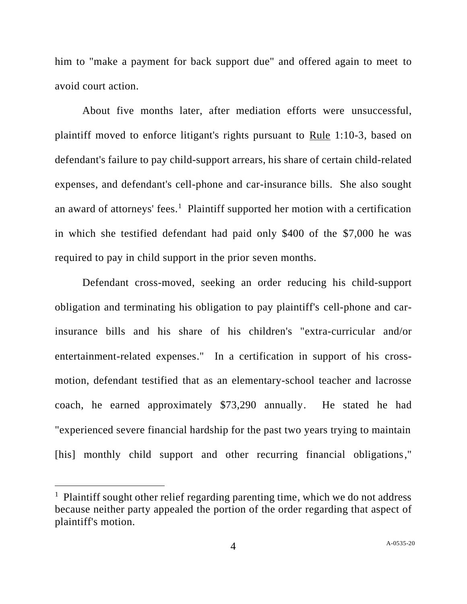him to "make a payment for back support due" and offered again to meet to avoid court action.

About five months later, after mediation efforts were unsuccessful, plaintiff moved to enforce litigant's rights pursuant to Rule 1:10-3, based on defendant's failure to pay child-support arrears, his share of certain child-related expenses, and defendant's cell-phone and car-insurance bills. She also sought an award of attorneys' fees.<sup>1</sup> Plaintiff supported her motion with a certification in which she testified defendant had paid only \$400 of the \$7,000 he was required to pay in child support in the prior seven months.

Defendant cross-moved, seeking an order reducing his child-support obligation and terminating his obligation to pay plaintiff's cell-phone and carinsurance bills and his share of his children's "extra-curricular and/or entertainment-related expenses." In a certification in support of his crossmotion, defendant testified that as an elementary-school teacher and lacrosse coach, he earned approximately \$73,290 annually. He stated he had "experienced severe financial hardship for the past two years trying to maintain [his] monthly child support and other recurring financial obligations,"

<sup>&</sup>lt;sup>1</sup> Plaintiff sought other relief regarding parenting time, which we do not address because neither party appealed the portion of the order regarding that aspect of plaintiff's motion.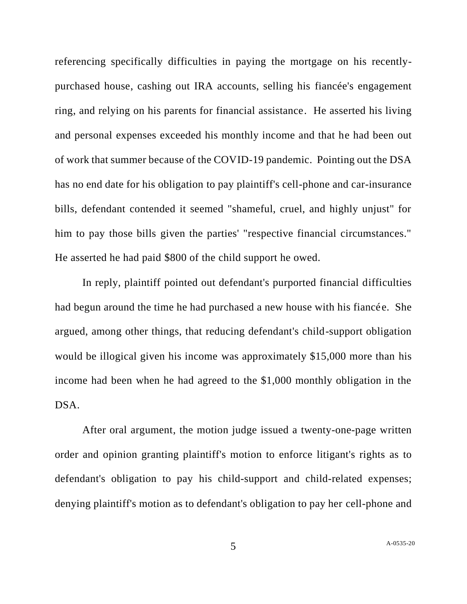referencing specifically difficulties in paying the mortgage on his recentlypurchased house, cashing out IRA accounts, selling his fiancée's engagement ring, and relying on his parents for financial assistance. He asserted his living and personal expenses exceeded his monthly income and that he had been out of work that summer because of the COVID-19 pandemic. Pointing out the DSA has no end date for his obligation to pay plaintiff's cell-phone and car-insurance bills, defendant contended it seemed "shameful, cruel, and highly unjust" for him to pay those bills given the parties' "respective financial circumstances." He asserted he had paid \$800 of the child support he owed.

In reply, plaintiff pointed out defendant's purported financial difficulties had begun around the time he had purchased a new house with his fiancée. She argued, among other things, that reducing defendant's child-support obligation would be illogical given his income was approximately \$15,000 more than his income had been when he had agreed to the \$1,000 monthly obligation in the DSA.

After oral argument, the motion judge issued a twenty-one-page written order and opinion granting plaintiff's motion to enforce litigant's rights as to defendant's obligation to pay his child-support and child-related expenses; denying plaintiff's motion as to defendant's obligation to pay her cell-phone and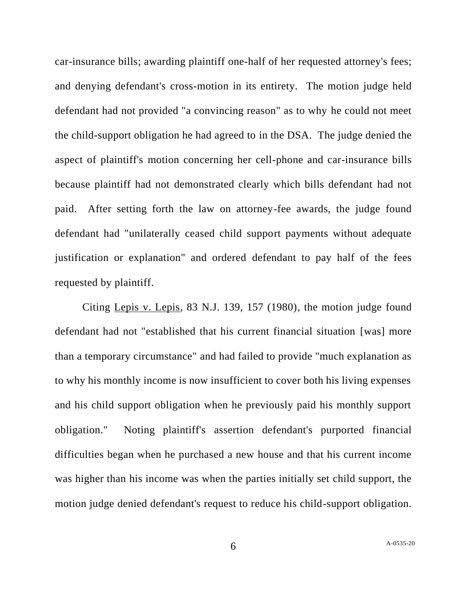car-insurance bills; awarding plaintiff one-half of her requested attorney's fees; and denying defendant's cross-motion in its entirety. The motion judge held defendant had not provided "a convincing reason" as to why he could not meet the child-support obligation he had agreed to in the DSA. The judge denied the aspect of plaintiff's motion concerning her cell-phone and car-insurance bills because plaintiff had not demonstrated clearly which bills defendant had not paid. After setting forth the law on attorney-fee awards, the judge found defendant had "unilaterally ceased child support payments without adequate justification or explanation" and ordered defendant to pay half of the fees requested by plaintiff.

Citing Lepis v. Lepis, 83 N.J. 139, 157 (1980), the motion judge found defendant had not "established that his current financial situation [was] more than a temporary circumstance" and had failed to provide "much explanation as to why his monthly income is now insufficient to cover both his living expenses and his child support obligation when he previously paid his monthly support obligation." Noting plaintiff's assertion defendant's purported financial difficulties began when he purchased a new house and that his current income was higher than his income was when the parties initially set child support, the motion judge denied defendant's request to reduce his child-support obligation.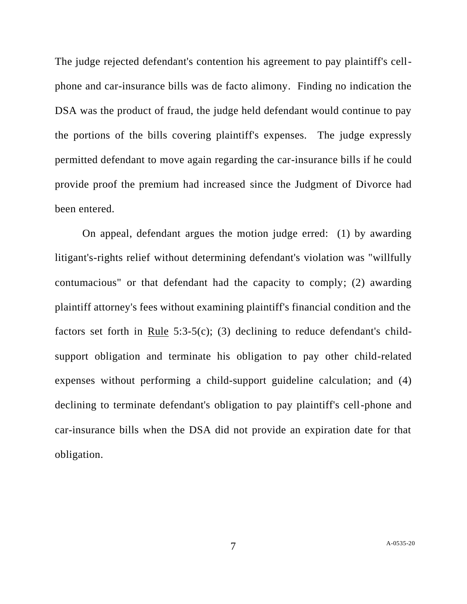The judge rejected defendant's contention his agreement to pay plaintiff's cellphone and car-insurance bills was de facto alimony. Finding no indication the DSA was the product of fraud, the judge held defendant would continue to pay the portions of the bills covering plaintiff's expenses. The judge expressly permitted defendant to move again regarding the car-insurance bills if he could provide proof the premium had increased since the Judgment of Divorce had been entered.

On appeal, defendant argues the motion judge erred: (1) by awarding litigant's-rights relief without determining defendant's violation was "willfully contumacious" or that defendant had the capacity to comply; (2) awarding plaintiff attorney's fees without examining plaintiff's financial condition and the factors set forth in Rule  $5:3-5(c)$ ; (3) declining to reduce defendant's childsupport obligation and terminate his obligation to pay other child-related expenses without performing a child-support guideline calculation; and (4) declining to terminate defendant's obligation to pay plaintiff's cell-phone and car-insurance bills when the DSA did not provide an expiration date for that obligation.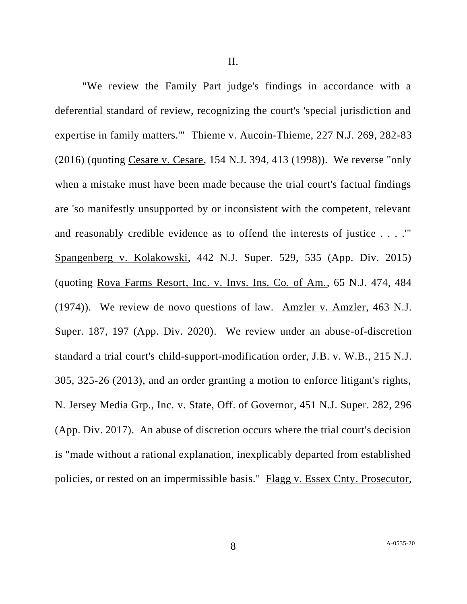"We review the Family Part judge's findings in accordance with a deferential standard of review, recognizing the court's 'special jurisdiction and expertise in family matters.'" Thieme v. Aucoin-Thieme, 227 N.J. 269, 282-83 (2016) (quoting Cesare v. Cesare, 154 N.J. 394, 413 (1998)). We reverse "only when a mistake must have been made because the trial court's factual findings are 'so manifestly unsupported by or inconsistent with the competent, relevant and reasonably credible evidence as to offend the interests of justice . . . .'" Spangenberg v. Kolakowski, 442 N.J. Super. 529, 535 (App. Div. 2015) (quoting Rova Farms Resort, Inc. v. Invs. Ins. Co. of Am., 65 N.J. 474, 484 (1974)). We review de novo questions of law. Amzler v. Amzler, 463 N.J. Super. 187, 197 (App. Div. 2020). We review under an abuse-of-discretion standard a trial court's child-support-modification order, J.B. v. W.B., 215 N.J. 305, 325-26 (2013), and an order granting a motion to enforce litigant's rights, N. Jersey Media Grp., Inc. v. State, Off. of Governor, 451 N.J. Super. 282, 296 (App. Div. 2017). An abuse of discretion occurs where the trial court's decision is "made without a rational explanation, inexplicably departed from established policies, or rested on an impermissible basis." Flagg v. Essex Cnty. Prosecutor,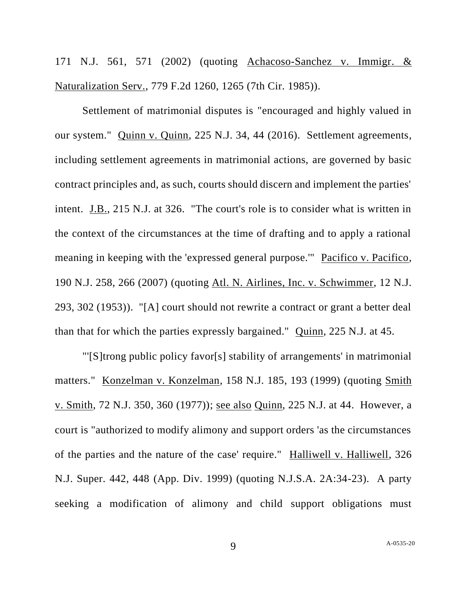171 N.J. 561, 571 (2002) (quoting Achacoso-Sanchez v. Immigr. & Naturalization Serv., 779 F.2d 1260, 1265 (7th Cir. 1985)).

Settlement of matrimonial disputes is "encouraged and highly valued in our system." Quinn v. Quinn, 225 N.J. 34, 44 (2016). Settlement agreements, including settlement agreements in matrimonial actions, are governed by basic contract principles and, as such, courts should discern and implement the parties' intent. J.B., 215 N.J. at 326. "The court's role is to consider what is written in the context of the circumstances at the time of drafting and to apply a rational meaning in keeping with the 'expressed general purpose.'" Pacifico v. Pacifico, 190 N.J. 258, 266 (2007) (quoting Atl. N. Airlines, Inc. v. Schwimmer, 12 N.J. 293, 302 (1953)). "[A] court should not rewrite a contract or grant a better deal than that for which the parties expressly bargained." Quinn, 225 N.J. at 45.

"'[S]trong public policy favor[s] stability of arrangements' in matrimonial matters." Konzelman v. Konzelman, 158 N.J. 185, 193 (1999) (quoting Smith v. Smith, 72 N.J. 350, 360 (1977)); see also Quinn, 225 N.J. at 44. However, a court is "authorized to modify alimony and support orders 'as the circumstances of the parties and the nature of the case' require." Halliwell v. Halliwell, 326 N.J. Super. 442, 448 (App. Div. 1999) (quoting N.J.S.A. 2A:34-23). A party seeking a modification of alimony and child support obligations must

9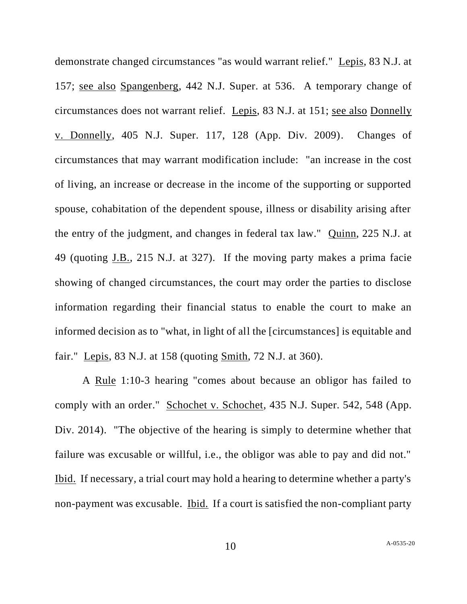demonstrate changed circumstances "as would warrant relief." Lepis, 83 N.J. at 157; see also Spangenberg, 442 N.J. Super. at 536. A temporary change of circumstances does not warrant relief. Lepis, 83 N.J. at 151; see also Donnelly v. Donnelly, 405 N.J. Super. 117, 128 (App. Div. 2009). Changes of circumstances that may warrant modification include: "an increase in the cost of living, an increase or decrease in the income of the supporting or supported spouse, cohabitation of the dependent spouse, illness or disability arising after the entry of the judgment, and changes in federal tax law." Quinn, 225 N.J. at 49 (quoting J.B., 215 N.J. at 327). If the moving party makes a prima facie showing of changed circumstances, the court may order the parties to disclose information regarding their financial status to enable the court to make an informed decision as to "what, in light of all the [circumstances] is equitable and fair." Lepis, 83 N.J. at 158 (quoting Smith, 72 N.J. at 360).

A <u>Rule</u> 1:10-3 hearing "comes about because an obligor has failed to comply with an order." Schochet v. Schochet, 435 N.J. Super. 542, 548 (App. Div. 2014). "The objective of the hearing is simply to determine whether that failure was excusable or willful, i.e., the obligor was able to pay and did not." Ibid. If necessary, a trial court may hold a hearing to determine whether a party's non-payment was excusable. Ibid. If a court is satisfied the non-compliant party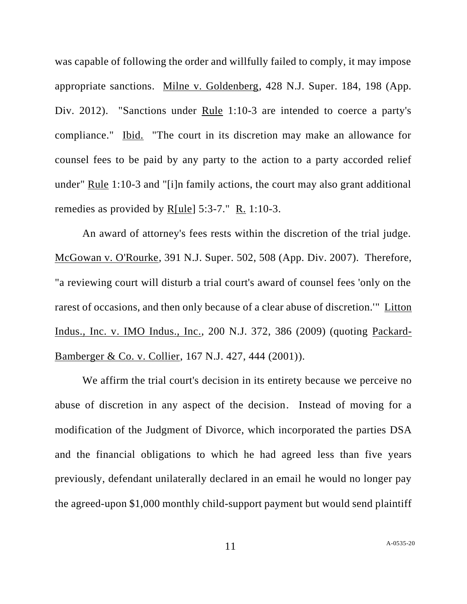was capable of following the order and willfully failed to comply, it may impose appropriate sanctions. Milne v. Goldenberg, 428 N.J. Super. 184, 198 (App. Div. 2012). "Sanctions under Rule 1:10-3 are intended to coerce a party's compliance." Ibid. "The court in its discretion may make an allowance for counsel fees to be paid by any party to the action to a party accorded relief under" Rule 1:10-3 and "[i]n family actions, the court may also grant additional remedies as provided by R[ule] 5:3-7." R. 1:10-3.

An award of attorney's fees rests within the discretion of the trial judge. McGowan v. O'Rourke, 391 N.J. Super. 502, 508 (App. Div. 2007). Therefore, "a reviewing court will disturb a trial court's award of counsel fees 'only on the rarest of occasions, and then only because of a clear abuse of discretion.'" Litton Indus., Inc. v. IMO Indus., Inc., 200 N.J. 372, 386 (2009) (quoting Packard-Bamberger & Co. v. Collier, 167 N.J. 427, 444 (2001)).

We affirm the trial court's decision in its entirety because we perceive no abuse of discretion in any aspect of the decision. Instead of moving for a modification of the Judgment of Divorce, which incorporated the parties DSA and the financial obligations to which he had agreed less than five years previously, defendant unilaterally declared in an email he would no longer pay the agreed-upon \$1,000 monthly child-support payment but would send plaintiff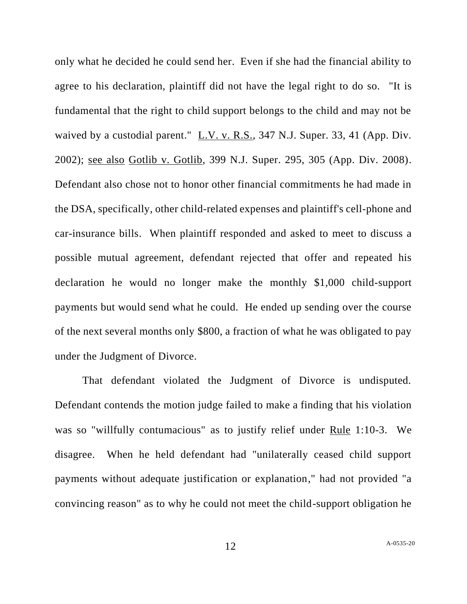only what he decided he could send her. Even if she had the financial ability to agree to his declaration, plaintiff did not have the legal right to do so. "It is fundamental that the right to child support belongs to the child and may not be waived by a custodial parent." L.V. v. R.S., 347 N.J. Super. 33, 41 (App. Div. 2002); see also Gotlib v. Gotlib, 399 N.J. Super. 295, 305 (App. Div. 2008). Defendant also chose not to honor other financial commitments he had made in the DSA, specifically, other child-related expenses and plaintiff's cell-phone and car-insurance bills. When plaintiff responded and asked to meet to discuss a possible mutual agreement, defendant rejected that offer and repeated his declaration he would no longer make the monthly \$1,000 child-support payments but would send what he could. He ended up sending over the course of the next several months only \$800, a fraction of what he was obligated to pay under the Judgment of Divorce.

That defendant violated the Judgment of Divorce is undisputed. Defendant contends the motion judge failed to make a finding that his violation was so "willfully contumacious" as to justify relief under Rule 1:10-3. We disagree. When he held defendant had "unilaterally ceased child support payments without adequate justification or explanation," had not provided "a convincing reason" as to why he could not meet the child-support obligation he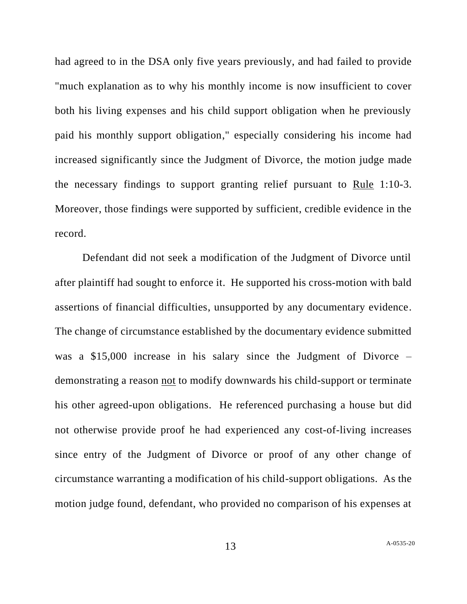had agreed to in the DSA only five years previously, and had failed to provide "much explanation as to why his monthly income is now insufficient to cover both his living expenses and his child support obligation when he previously paid his monthly support obligation," especially considering his income had increased significantly since the Judgment of Divorce, the motion judge made the necessary findings to support granting relief pursuant to Rule 1:10-3. Moreover, those findings were supported by sufficient, credible evidence in the record.

Defendant did not seek a modification of the Judgment of Divorce until after plaintiff had sought to enforce it. He supported his cross-motion with bald assertions of financial difficulties, unsupported by any documentary evidence. The change of circumstance established by the documentary evidence submitted was a \$15,000 increase in his salary since the Judgment of Divorce – demonstrating a reason <u>not</u> to modify downwards his child-support or terminate his other agreed-upon obligations. He referenced purchasing a house but did not otherwise provide proof he had experienced any cost-of-living increases since entry of the Judgment of Divorce or proof of any other change of circumstance warranting a modification of his child-support obligations. As the motion judge found, defendant, who provided no comparison of his expenses at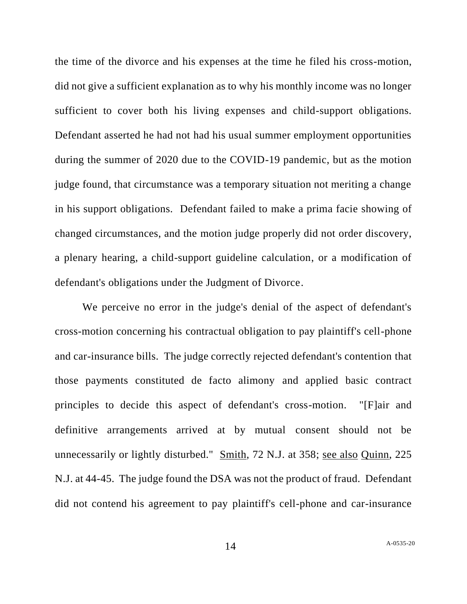the time of the divorce and his expenses at the time he filed his cross-motion, did not give a sufficient explanation as to why his monthly income was no longer sufficient to cover both his living expenses and child-support obligations. Defendant asserted he had not had his usual summer employment opportunities during the summer of 2020 due to the COVID-19 pandemic, but as the motion judge found, that circumstance was a temporary situation not meriting a change in his support obligations. Defendant failed to make a prima facie showing of changed circumstances, and the motion judge properly did not order discovery, a plenary hearing, a child-support guideline calculation, or a modification of defendant's obligations under the Judgment of Divorce.

We perceive no error in the judge's denial of the aspect of defendant's cross-motion concerning his contractual obligation to pay plaintiff's cell-phone and car-insurance bills. The judge correctly rejected defendant's contention that those payments constituted de facto alimony and applied basic contract principles to decide this aspect of defendant's cross-motion. "[F]air and definitive arrangements arrived at by mutual consent should not be unnecessarily or lightly disturbed." Smith, 72 N.J. at 358; see also Quinn, 225 N.J. at 44-45. The judge found the DSA was not the product of fraud. Defendant did not contend his agreement to pay plaintiff's cell-phone and car-insurance